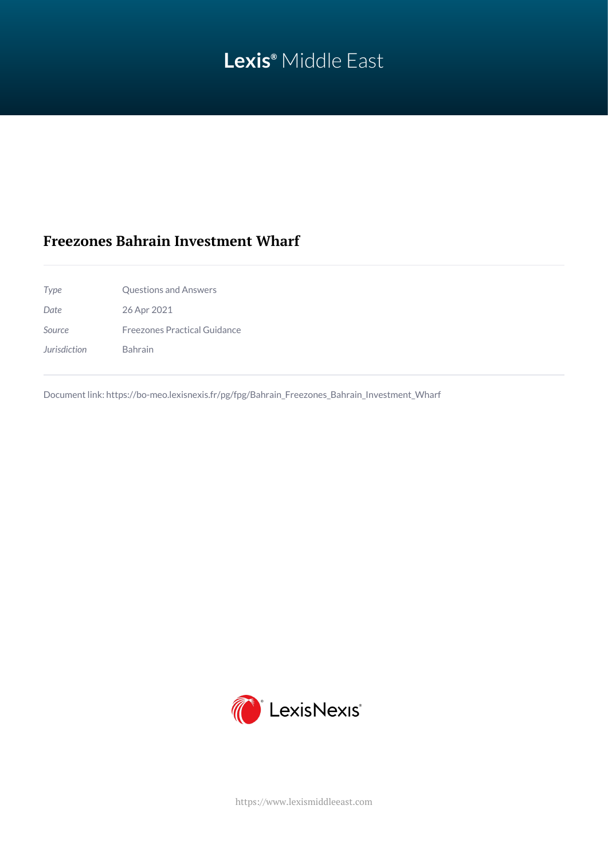# **Lexis®** Middle East

## **Freezones Bahrain Investment Wharf**

*Type* Questions and Answers *Date* 26 Apr 2021 *Source* Freezones Practical Guidance

*Jurisdiction* Bahrain

Document link: [https://bo-meo.lexisnexis.fr/pg/fpg/Bahrain\\_Freezones\\_Bahrain\\_Investment\\_Wharf](https://bo-meo.lexisnexis.fr/pg/fpg/Bahrain_Freezones_Bahrain_Investment_Wharf)



<https://www.lexismiddleeast.com>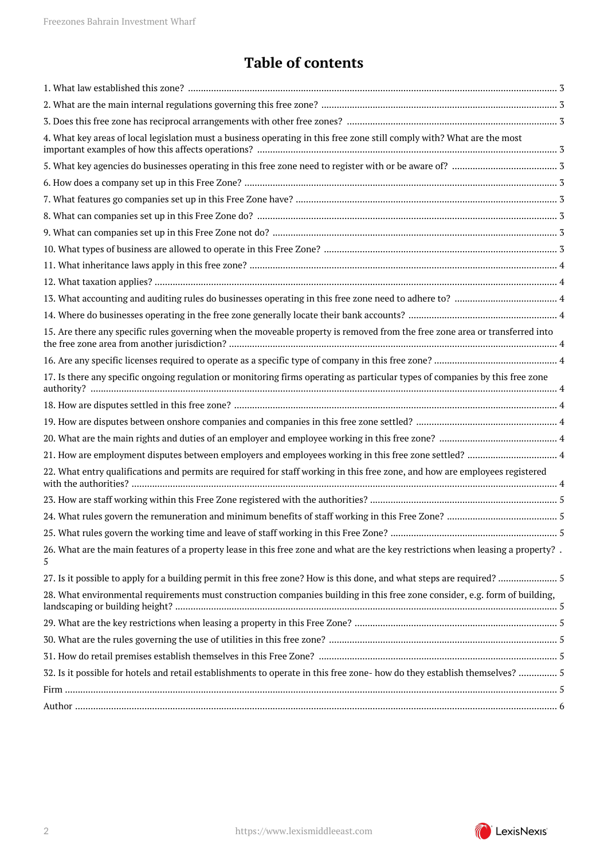## **Table of contents**

| 15. Are there any specific rules governing when the moveable property is removed from the free zone area or transferred into<br>26. What are the main features of a property lease in this free zone and what are the key restrictions when leasing a property?.<br>28. What environmental requirements must construction companies building in this free zone consider, e.g. form of building,<br>32. Is it possible for hotels and retail establishments to operate in this free zone- how do they establish themselves?  5 |                                                                                                                               |  |
|-------------------------------------------------------------------------------------------------------------------------------------------------------------------------------------------------------------------------------------------------------------------------------------------------------------------------------------------------------------------------------------------------------------------------------------------------------------------------------------------------------------------------------|-------------------------------------------------------------------------------------------------------------------------------|--|
|                                                                                                                                                                                                                                                                                                                                                                                                                                                                                                                               |                                                                                                                               |  |
|                                                                                                                                                                                                                                                                                                                                                                                                                                                                                                                               |                                                                                                                               |  |
|                                                                                                                                                                                                                                                                                                                                                                                                                                                                                                                               |                                                                                                                               |  |
|                                                                                                                                                                                                                                                                                                                                                                                                                                                                                                                               | 4. What key areas of local legislation must a business operating in this free zone still comply with? What are the most       |  |
|                                                                                                                                                                                                                                                                                                                                                                                                                                                                                                                               |                                                                                                                               |  |
|                                                                                                                                                                                                                                                                                                                                                                                                                                                                                                                               |                                                                                                                               |  |
|                                                                                                                                                                                                                                                                                                                                                                                                                                                                                                                               |                                                                                                                               |  |
|                                                                                                                                                                                                                                                                                                                                                                                                                                                                                                                               |                                                                                                                               |  |
|                                                                                                                                                                                                                                                                                                                                                                                                                                                                                                                               |                                                                                                                               |  |
|                                                                                                                                                                                                                                                                                                                                                                                                                                                                                                                               |                                                                                                                               |  |
|                                                                                                                                                                                                                                                                                                                                                                                                                                                                                                                               |                                                                                                                               |  |
|                                                                                                                                                                                                                                                                                                                                                                                                                                                                                                                               |                                                                                                                               |  |
|                                                                                                                                                                                                                                                                                                                                                                                                                                                                                                                               |                                                                                                                               |  |
|                                                                                                                                                                                                                                                                                                                                                                                                                                                                                                                               |                                                                                                                               |  |
|                                                                                                                                                                                                                                                                                                                                                                                                                                                                                                                               |                                                                                                                               |  |
|                                                                                                                                                                                                                                                                                                                                                                                                                                                                                                                               |                                                                                                                               |  |
|                                                                                                                                                                                                                                                                                                                                                                                                                                                                                                                               | 17. Is there any specific ongoing regulation or monitoring firms operating as particular types of companies by this free zone |  |
|                                                                                                                                                                                                                                                                                                                                                                                                                                                                                                                               |                                                                                                                               |  |
|                                                                                                                                                                                                                                                                                                                                                                                                                                                                                                                               |                                                                                                                               |  |
|                                                                                                                                                                                                                                                                                                                                                                                                                                                                                                                               |                                                                                                                               |  |
|                                                                                                                                                                                                                                                                                                                                                                                                                                                                                                                               |                                                                                                                               |  |
|                                                                                                                                                                                                                                                                                                                                                                                                                                                                                                                               | 22. What entry qualifications and permits are required for staff working in this free zone, and how are employees registered  |  |
|                                                                                                                                                                                                                                                                                                                                                                                                                                                                                                                               |                                                                                                                               |  |
|                                                                                                                                                                                                                                                                                                                                                                                                                                                                                                                               |                                                                                                                               |  |
|                                                                                                                                                                                                                                                                                                                                                                                                                                                                                                                               |                                                                                                                               |  |
|                                                                                                                                                                                                                                                                                                                                                                                                                                                                                                                               | 5                                                                                                                             |  |
|                                                                                                                                                                                                                                                                                                                                                                                                                                                                                                                               |                                                                                                                               |  |
|                                                                                                                                                                                                                                                                                                                                                                                                                                                                                                                               |                                                                                                                               |  |
|                                                                                                                                                                                                                                                                                                                                                                                                                                                                                                                               |                                                                                                                               |  |
|                                                                                                                                                                                                                                                                                                                                                                                                                                                                                                                               |                                                                                                                               |  |
|                                                                                                                                                                                                                                                                                                                                                                                                                                                                                                                               |                                                                                                                               |  |
|                                                                                                                                                                                                                                                                                                                                                                                                                                                                                                                               |                                                                                                                               |  |
|                                                                                                                                                                                                                                                                                                                                                                                                                                                                                                                               |                                                                                                                               |  |
|                                                                                                                                                                                                                                                                                                                                                                                                                                                                                                                               |                                                                                                                               |  |

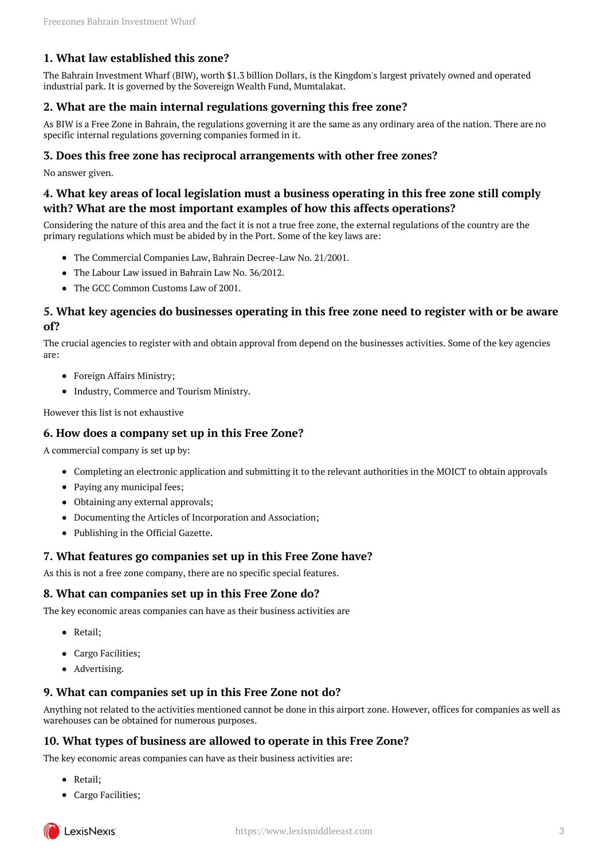## <span id="page-2-0"></span>**1. What law established this zone?**

The Bahrain Investment Wharf (BIW), worth \$1.3 billion Dollars, is the Kingdom's largest privately owned and operated industrial park. It is governed by the Sovereign Wealth Fund, Mumtalakat.

## <span id="page-2-1"></span>**2. What are the main internal regulations governing this free zone?**

As BIW is a Free Zone in Bahrain, the regulations governing it are the same as any ordinary area of the nation. There are no specific internal regulations governing companies formed in it.

#### <span id="page-2-2"></span>**3. Does this free zone has reciprocal arrangements with other free zones?**

No answer given.

## <span id="page-2-3"></span>**4. What key areas of local legislation must a business operating in this free zone still comply with? What are the most important examples of how this affects operations?**

Considering the nature of this area and the fact it is not a true free zone, the external regulations of the country are the primary regulations which must be abided by in the Port. Some of the key laws are:

- The Commercial Companies Law, Bahrain Decree-Law No. 21/2001.
- The Labour Law issued in Bahrain Law No. 36/2012.
- The GCC Common Customs Law of 2001.

## <span id="page-2-4"></span>**5. What key agencies do businesses operating in this free zone need to register with or be aware of?**

The crucial agencies to register with and obtain approval from depend on the businesses activities. Some of the key agencies are:

- Foreign Affairs Ministry;
- Industry, Commerce and Tourism Ministry.

However this list is not exhaustive

## <span id="page-2-5"></span>**6. How does a company set up in this Free Zone?**

A commercial company is set up by:

- Completing an electronic application and submitting it to the relevant authorities in the MOICT to obtain approvals
- Paying any municipal fees;
- Obtaining any external approvals;
- Documenting the Articles of Incorporation and Association;
- Publishing in the Official Gazette.

#### <span id="page-2-6"></span>**7. What features go companies set up in this Free Zone have?**

As this is not a free zone company, there are no specific special features.

#### <span id="page-2-7"></span>**8. What can companies set up in this Free Zone do?**

The key economic areas companies can have as their business activities are

- Retail:
- Cargo Facilities;
- Advertising.

#### <span id="page-2-8"></span>**9. What can companies set up in this Free Zone not do?**

Anything not related to the activities mentioned cannot be done in this airport zone. However, offices for companies as well as warehouses can be obtained for numerous purposes.

## <span id="page-2-9"></span>**10. What types of business are allowed to operate in this Free Zone?**

The key economic areas companies can have as their business activities are:

- Retail:
- Cargo Facilities;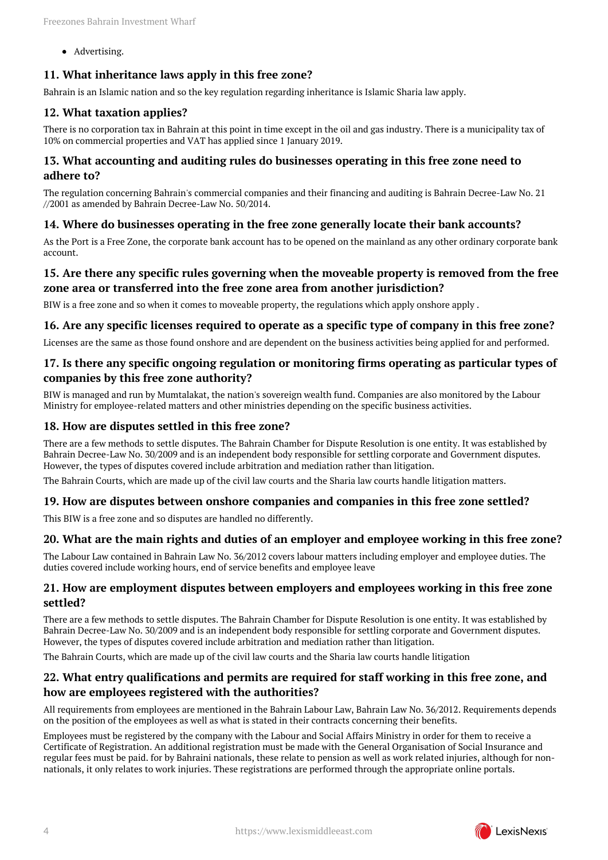• Advertising.

## <span id="page-3-0"></span>**11. What inheritance laws apply in this free zone?**

Bahrain is an Islamic nation and so the key regulation regarding inheritance is Islamic Sharia law apply.

## <span id="page-3-1"></span>**12. What taxation applies?**

There is no corporation tax in Bahrain at this point in time except in the oil and gas industry. There is a municipality tax of 10% on commercial properties and VAT has applied since 1 January 2019.

## <span id="page-3-2"></span>**13. What accounting and auditing rules do businesses operating in this free zone need to adhere to?**

The regulation concerning Bahrain's commercial companies and their financing and auditing is Bahrain Decree-Law No. 21 //2001 as amended by Bahrain Decree-Law No. 50/2014.

## <span id="page-3-3"></span>**14. Where do businesses operating in the free zone generally locate their bank accounts?**

As the Port is a Free Zone, the corporate bank account has to be opened on the mainland as any other ordinary corporate bank account.

## <span id="page-3-4"></span>**15. Are there any specific rules governing when the moveable property is removed from the free zone area or transferred into the free zone area from another jurisdiction?**

BIW is a free zone and so when it comes to moveable property, the regulations which apply onshore apply .

#### <span id="page-3-5"></span>**16. Are any specific licenses required to operate as a specific type of company in this free zone?**

Licenses are the same as those found onshore and are dependent on the business activities being applied for and performed.

## <span id="page-3-6"></span>**17. Is there any specific ongoing regulation or monitoring firms operating as particular types of companies by this free zone authority?**

BIW is managed and run by Mumtalakat, the nation's sovereign wealth fund. Companies are also monitored by the Labour Ministry for employee-related matters and other ministries depending on the specific business activities.

#### <span id="page-3-7"></span>**18. How are disputes settled in this free zone?**

There are a few methods to settle disputes. The Bahrain Chamber for Dispute Resolution is one entity. It was established by Bahrain Decree-Law No. 30/2009 and is an independent body responsible for settling corporate and Government disputes. However, the types of disputes covered include arbitration and mediation rather than litigation.

The Bahrain Courts, which are made up of the civil law courts and the Sharia law courts handle litigation matters.

#### <span id="page-3-8"></span>**19. How are disputes between onshore companies and companies in this free zone settled?**

This BIW is a free zone and so disputes are handled no differently.

#### <span id="page-3-9"></span>**20. What are the main rights and duties of an employer and employee working in this free zone?**

The Labour Law contained in Bahrain Law No. 36/2012 covers labour matters including employer and employee duties. The duties covered include working hours, end of service benefits and employee leave

#### <span id="page-3-10"></span>**21. How are employment disputes between employers and employees working in this free zone settled?**

There are a few methods to settle disputes. The Bahrain Chamber for Dispute Resolution is one entity. It was established by Bahrain Decree-Law No. 30/2009 and is an independent body responsible for settling corporate and Government disputes. However, the types of disputes covered include arbitration and mediation rather than litigation.

The Bahrain Courts, which are made up of the civil law courts and the Sharia law courts handle litigation

## <span id="page-3-11"></span>**22. What entry qualifications and permits are required for staff working in this free zone, and how are employees registered with the authorities?**

All requirements from employees are mentioned in the Bahrain Labour Law, Bahrain Law No. 36/2012. Requirements depends on the position of the employees as well as what is stated in their contracts concerning their benefits.

Employees must be registered by the company with the Labour and Social Affairs Ministry in order for them to receive a Certificate of Registration. An additional registration must be made with the General Organisation of Social Insurance and regular fees must be paid. for by Bahraini nationals, these relate to pension as well as work related injuries, although for nonnationals, it only relates to work injuries. These registrations are performed through the appropriate online portals.

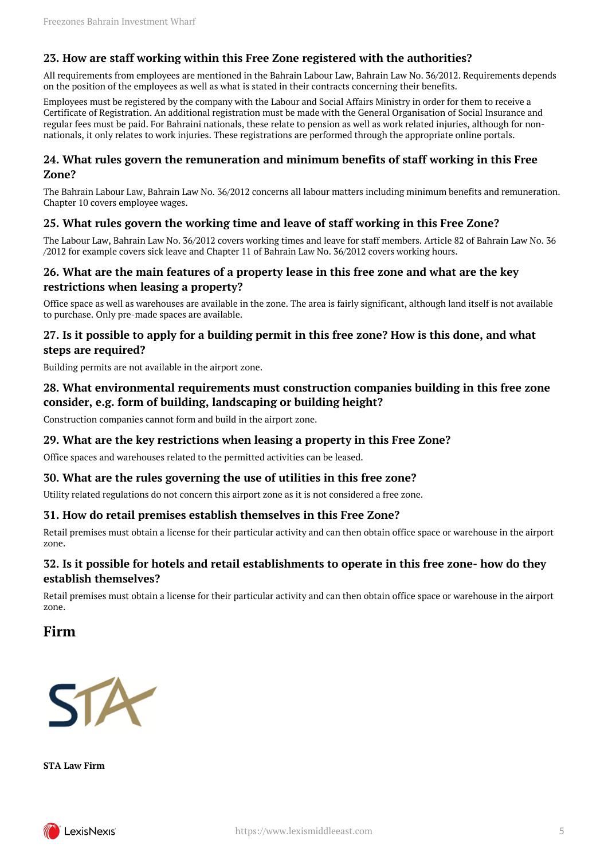## <span id="page-4-0"></span>**23. How are staff working within this Free Zone registered with the authorities?**

All requirements from employees are mentioned in the Bahrain Labour Law, Bahrain Law No. 36/2012. Requirements depends on the position of the employees as well as what is stated in their contracts concerning their benefits.

Employees must be registered by the company with the Labour and Social Affairs Ministry in order for them to receive a Certificate of Registration. An additional registration must be made with the General Organisation of Social Insurance and regular fees must be paid. For Bahraini nationals, these relate to pension as well as work related injuries, although for nonnationals, it only relates to work injuries. These registrations are performed through the appropriate online portals.

#### <span id="page-4-1"></span>**24. What rules govern the remuneration and minimum benefits of staff working in this Free Zone?**

The Bahrain Labour Law, Bahrain Law No. 36/2012 concerns all labour matters including minimum benefits and remuneration. Chapter 10 covers employee wages.

## <span id="page-4-2"></span>**25. What rules govern the working time and leave of staff working in this Free Zone?**

The Labour Law, Bahrain Law No. 36/2012 covers working times and leave for staff members. Article 82 of Bahrain Law No. 36 /2012 for example covers sick leave and Chapter 11 of Bahrain Law No. 36/2012 covers working hours.

## <span id="page-4-3"></span>**26. What are the main features of a property lease in this free zone and what are the key restrictions when leasing a property?**

Office space as well as warehouses are available in the zone. The area is fairly significant, although land itself is not available to purchase. Only pre-made spaces are available.

## <span id="page-4-4"></span>**27. Is it possible to apply for a building permit in this free zone? How is this done, and what steps are required?**

Building permits are not available in the airport zone.

## <span id="page-4-5"></span>**28. What environmental requirements must construction companies building in this free zone consider, e.g. form of building, landscaping or building height?**

Construction companies cannot form and build in the airport zone.

#### <span id="page-4-6"></span>**29. What are the key restrictions when leasing a property in this Free Zone?**

Office spaces and warehouses related to the permitted activities can be leased.

## <span id="page-4-7"></span>**30. What are the rules governing the use of utilities in this free zone?**

Utility related regulations do not concern this airport zone as it is not considered a free zone.

#### <span id="page-4-8"></span>**31. How do retail premises establish themselves in this Free Zone?**

Retail premises must obtain a license for their particular activity and can then obtain office space or warehouse in the airport zone.

## <span id="page-4-9"></span>**32. Is it possible for hotels and retail establishments to operate in this free zone- how do they establish themselves?**

Retail premises must obtain a license for their particular activity and can then obtain office space or warehouse in the airport zone.

## <span id="page-4-10"></span>**Firm**



**STA Law Firm**